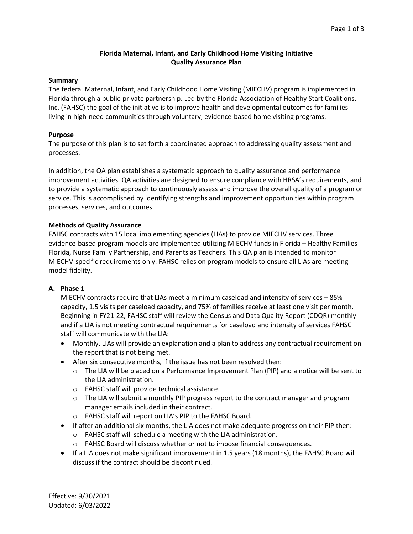# **Florida Maternal, Infant, and Early Childhood Home Visiting Initiative Quality Assurance Plan**

#### **Summary**

The federal Maternal, Infant, and Early Childhood Home Visiting (MIECHV) program is implemented in Florida through a public-private partnership. Led by the Florida Association of Healthy Start Coalitions, Inc. (FAHSC) the goal of the initiative is to improve health and developmental outcomes for families living in high-need communities through voluntary, evidence-based home visiting programs.

#### **Purpose**

The purpose of this plan is to set forth a coordinated approach to addressing quality assessment and processes.

In addition, the QA plan establishes a systematic approach to quality assurance and performance improvement activities. QA activities are designed to ensure compliance with HRSA's requirements, and to provide a systematic approach to continuously assess and improve the overall quality of a program or service. This is accomplished by identifying strengths and improvement opportunities within program processes, services, and outcomes.

## **Methods of Quality Assurance**

FAHSC contracts with 15 local implementing agencies (LIAs) to provide MIECHV services. Three evidence-based program models are implemented utilizing MIECHV funds in Florida – Healthy Families Florida, Nurse Family Partnership, and Parents as Teachers. This QA plan is intended to monitor MIECHV-specific requirements only. FAHSC relies on program models to ensure all LIAs are meeting model fidelity.

## **A. Phase 1**

MIECHV contracts require that LIAs meet a minimum caseload and intensity of services – 85% capacity, 1.5 visits per caseload capacity, and 75% of families receive at least one visit per month. Beginning in FY21-22, FAHSC staff will review the Census and Data Quality Report (CDQR) monthly and if a LIA is not meeting contractual requirements for caseload and intensity of services FAHSC staff will communicate with the LIA:

- Monthly, LIAs will provide an explanation and a plan to address any contractual requirement on the report that is not being met.
- After six consecutive months, if the issue has not been resolved then:
	- $\circ$  The LIA will be placed on a Performance Improvement Plan (PIP) and a notice will be sent to the LIA administration.
	- o FAHSC staff will provide technical assistance.
	- $\circ$  The LIA will submit a monthly PIP progress report to the contract manager and program manager emails included in their contract.
	- o FAHSC staff will report on LIA's PIP to the FAHSC Board.
- If after an additional six months, the LIA does not make adequate progress on their PIP then:
	- o FAHSC staff will schedule a meeting with the LIA administration.
	- o FAHSC Board will discuss whether or not to impose financial consequences.
- If a LIA does not make significant improvement in 1.5 years (18 months), the FAHSC Board will discuss if the contract should be discontinued.

Effective: 9/30/2021 Updated: 6/03/2022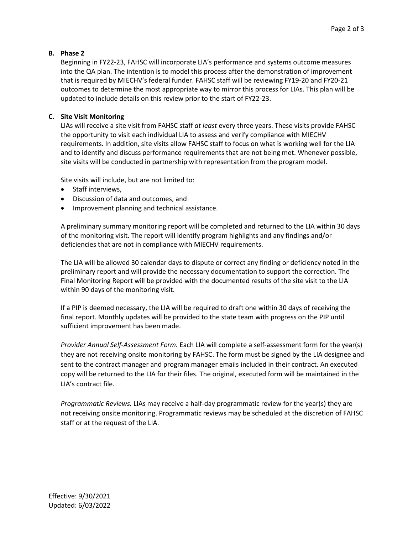# **B. Phase 2**

Beginning in FY22-23, FAHSC will incorporate LIA's performance and systems outcome measures into the QA plan. The intention is to model this process after the demonstration of improvement that is required by MIECHV's federal funder. FAHSC staff will be reviewing FY19-20 and FY20-21 outcomes to determine the most appropriate way to mirror this process for LIAs. This plan will be updated to include details on this review prior to the start of FY22-23.

# **C. Site Visit Monitoring**

LIAs will receive a site visit from FAHSC staff *at least* every three years. These visits provide FAHSC the opportunity to visit each individual LIA to assess and verify compliance with MIECHV requirements. In addition, site visits allow FAHSC staff to focus on what is working well for the LIA and to identify and discuss performance requirements that are not being met. Whenever possible, site visits will be conducted in partnership with representation from the program model.

Site visits will include, but are not limited to:

- Staff interviews,
- Discussion of data and outcomes, and
- Improvement planning and technical assistance.

A preliminary summary monitoring report will be completed and returned to the LIA within 30 days of the monitoring visit. The report will identify program highlights and any findings and/or deficiencies that are not in compliance with MIECHV requirements.

The LIA will be allowed 30 calendar days to dispute or correct any finding or deficiency noted in the preliminary report and will provide the necessary documentation to support the correction. The Final Monitoring Report will be provided with the documented results of the site visit to the LIA within 90 days of the monitoring visit.

If a PIP is deemed necessary, the LIA will be required to draft one within 30 days of receiving the final report. Monthly updates will be provided to the state team with progress on the PIP until sufficient improvement has been made.

*Provider Annual Self-Assessment Form.* Each LIA will complete a self-assessment form for the year(s) they are not receiving onsite monitoring by FAHSC. The form must be signed by the LIA designee and sent to the contract manager and program manager emails included in their contract. An executed copy will be returned to the LIA for their files. The original, executed form will be maintained in the LIA's contract file.

*Programmatic Reviews.* LIAs may receive a half-day programmatic review for the year(s) they are not receiving onsite monitoring. Programmatic reviews may be scheduled at the discretion of FAHSC staff or at the request of the LIA.